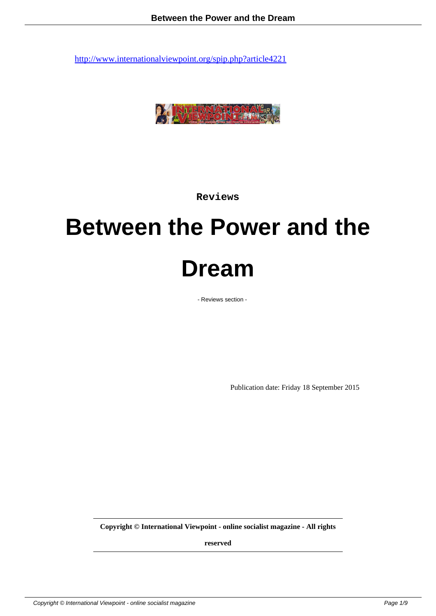

**Reviews**

# **Between the Power and the Dream**

- Reviews section -

Publication date: Friday 18 September 2015

**Copyright © International Viewpoint - online socialist magazine - All rights**

**reserved**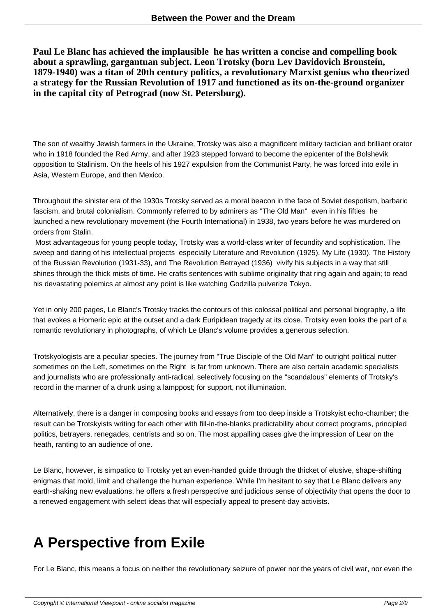**Paul Le Blanc has achieved the implausible he has written a concise and compelling book about a sprawling, gargantuan subject. Leon Trotsky (born Lev Davidovich Bronstein, 1879-1940) was a titan of 20th century politics, a revolutionary Marxist genius who theorized a strategy for the Russian Revolution of 1917 and functioned as its on-the-ground organizer in the capital city of Petrograd (now St. Petersburg).**

The son of wealthy Jewish farmers in the Ukraine, Trotsky was also a magnificent military tactician and brilliant orator who in 1918 founded the Red Army, and after 1923 stepped forward to become the epicenter of the Bolshevik opposition to Stalinism. On the heels of his 1927 expulsion from the Communist Party, he was forced into exile in Asia, Western Europe, and then Mexico.

Throughout the sinister era of the 1930s Trotsky served as a moral beacon in the face of Soviet despotism, barbaric fascism, and brutal colonialism. Commonly referred to by admirers as "The Old Man" even in his fifties he launched a new revolutionary movement (the Fourth International) in 1938, two years before he was murdered on orders from Stalin.

 Most advantageous for young people today, Trotsky was a world-class writer of fecundity and sophistication. The sweep and daring of his intellectual projects especially Literature and Revolution (1925), My Life (1930), The History of the Russian Revolution (1931-33), and The Revolution Betrayed (1936) vivify his subjects in a way that still shines through the thick mists of time. He crafts sentences with sublime originality that ring again and again; to read his devastating polemics at almost any point is like watching Godzilla pulverize Tokyo.

Yet in only 200 pages, Le Blanc's Trotsky tracks the contours of this colossal political and personal biography, a life that evokes a Homeric epic at the outset and a dark Euripidean tragedy at its close. Trotsky even looks the part of a romantic revolutionary in photographs, of which Le Blanc's volume provides a generous selection.

Trotskyologists are a peculiar species. The journey from "True Disciple of the Old Man" to outright political nutter sometimes on the Left, sometimes on the Right is far from unknown. There are also certain academic specialists and journalists who are professionally anti-radical, selectively focusing on the "scandalous" elements of Trotsky's record in the manner of a drunk using a lamppost; for support, not illumination.

Alternatively, there is a danger in composing books and essays from too deep inside a Trotskyist echo-chamber; the result can be Trotskyists writing for each other with fill-in-the-blanks predictability about correct programs, principled politics, betrayers, renegades, centrists and so on. The most appalling cases give the impression of Lear on the heath, ranting to an audience of one.

Le Blanc, however, is simpatico to Trotsky yet an even-handed guide through the thicket of elusive, shape-shifting enigmas that mold, limit and challenge the human experience. While I'm hesitant to say that Le Blanc delivers any earth-shaking new evaluations, he offers a fresh perspective and judicious sense of objectivity that opens the door to a renewed engagement with select ideas that will especially appeal to present-day activists.

# **A Perspective from Exile**

For Le Blanc, this means a focus on neither the revolutionary seizure of power nor the years of civil war, nor even the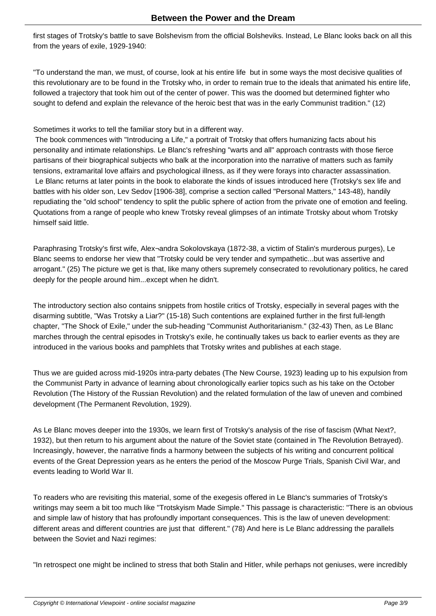first stages of Trotsky's battle to save Bolshevism from the official Bolsheviks. Instead, Le Blanc looks back on all this from the years of exile, 1929-1940:

"To understand the man, we must, of course, look at his entire life but in some ways the most decisive qualities of this revolutionary are to be found in the Trotsky who, in order to remain true to the ideals that animated his entire life, followed a trajectory that took him out of the center of power. This was the doomed but determined fighter who sought to defend and explain the relevance of the heroic best that was in the early Communist tradition." (12)

Sometimes it works to tell the familiar story but in a different way.

 The book commences with "Introducing a Life," a portrait of Trotsky that offers humanizing facts about his personality and intimate relationships. Le Blanc's refreshing "warts and all" approach contrasts with those fierce partisans of their biographical subjects who balk at the incorporation into the narrative of matters such as family tensions, extramarital love affairs and psychological illness, as if they were forays into character assassination. Le Blanc returns at later points in the book to elaborate the kinds of issues introduced here (Trotsky's sex life and battles with his older son, Lev Sedov [1906-38], comprise a section called "Personal Matters," 143-48), handily repudiating the "old school" tendency to split the public sphere of action from the private one of emotion and feeling. Quotations from a range of people who knew Trotsky reveal glimpses of an intimate Trotsky about whom Trotsky himself said little.

Paraphrasing Trotsky's first wife, Alex¬andra Sokolovskaya (1872-38, a victim of Stalin's murderous purges), Le Blanc seems to endorse her view that "Trotsky could be very tender and sympathetic...but was assertive and arrogant." (25) The picture we get is that, like many others supremely consecrated to revolutionary politics, he cared deeply for the people around him...except when he didn't.

The introductory section also contains snippets from hostile critics of Trotsky, especially in several pages with the disarming subtitle, "Was Trotsky a Liar?" (15-18) Such contentions are explained further in the first full-length chapter, "The Shock of Exile," under the sub-heading "Communist Authoritarianism." (32-43) Then, as Le Blanc marches through the central episodes in Trotsky's exile, he continually takes us back to earlier events as they are introduced in the various books and pamphlets that Trotsky writes and publishes at each stage.

Thus we are guided across mid-1920s intra-party debates (The New Course, 1923) leading up to his expulsion from the Communist Party in advance of learning about chronologically earlier topics such as his take on the October Revolution (The History of the Russian Revolution) and the related formulation of the law of uneven and combined development (The Permanent Revolution, 1929).

As Le Blanc moves deeper into the 1930s, we learn first of Trotsky's analysis of the rise of fascism (What Next?, 1932), but then return to his argument about the nature of the Soviet state (contained in The Revolution Betrayed). Increasingly, however, the narrative finds a harmony between the subjects of his writing and concurrent political events of the Great Depression years as he enters the period of the Moscow Purge Trials, Spanish Civil War, and events leading to World War II.

To readers who are revisiting this material, some of the exegesis offered in Le Blanc's summaries of Trotsky's writings may seem a bit too much like "Trotskyism Made Simple." This passage is characteristic: "There is an obvious and simple law of history that has profoundly important consequences. This is the law of uneven development: different areas and different countries are just that different." (78) And here is Le Blanc addressing the parallels between the Soviet and Nazi regimes:

"In retrospect one might be inclined to stress that both Stalin and Hitler, while perhaps not geniuses, were incredibly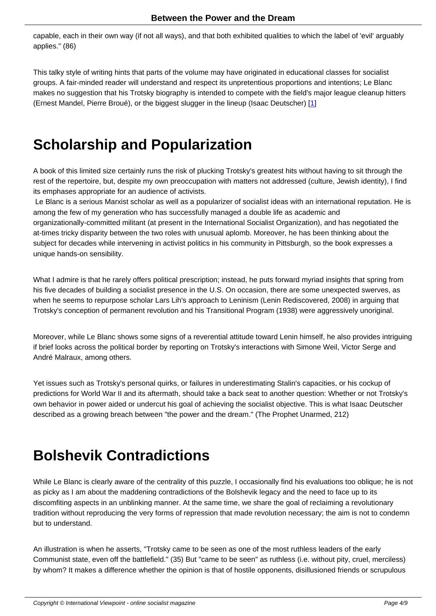capable, each in their own way (if not all ways), and that both exhibited qualities to which the label of 'evil' arguably applies." (86)

This talky style of writing hints that parts of the volume may have originated in educational classes for socialist groups. A fair-minded reader will understand and respect its unpretentious proportions and intentions; Le Blanc makes no suggestion that his Trotsky biography is intended to compete with the field's major league cleanup hitters (Ernest Mandel, Pierre Broué), or the biggest slugger in the lineup (Isaac Deutscher) [1]

### **Scholarship and Popularization**

A book of this limited size certainly runs the risk of plucking Trotsky's greatest hits without having to sit through the rest of the repertoire, but, despite my own preoccupation with matters not addressed (culture, Jewish identity), I find its emphases appropriate for an audience of activists.

 Le Blanc is a serious Marxist scholar as well as a popularizer of socialist ideas with an international reputation. He is among the few of my generation who has successfully managed a double life as academic and organizationally-committed militant (at present in the International Socialist Organization), and has negotiated the at-times tricky disparity between the two roles with unusual aplomb. Moreover, he has been thinking about the subject for decades while intervening in activist politics in his community in Pittsburgh, so the book expresses a unique hands-on sensibility.

What I admire is that he rarely offers political prescription; instead, he puts forward myriad insights that spring from his five decades of building a socialist presence in the U.S. On occasion, there are some unexpected swerves, as when he seems to repurpose scholar Lars Lih's approach to Leninism (Lenin Rediscovered, 2008) in arguing that Trotsky's conception of permanent revolution and his Transitional Program (1938) were aggressively unoriginal.

Moreover, while Le Blanc shows some signs of a reverential attitude toward Lenin himself, he also provides intriguing if brief looks across the political border by reporting on Trotsky's interactions with Simone Weil, Victor Serge and André Malraux, among others.

Yet issues such as Trotsky's personal quirks, or failures in underestimating Stalin's capacities, or his cockup of predictions for World War II and its aftermath, should take a back seat to another question: Whether or not Trotsky's own behavior in power aided or undercut his goal of achieving the socialist objective. This is what Isaac Deutscher described as a growing breach between "the power and the dream." (The Prophet Unarmed, 212)

### **Bolshevik Contradictions**

While Le Blanc is clearly aware of the centrality of this puzzle, I occasionally find his evaluations too oblique; he is not as picky as I am about the maddening contradictions of the Bolshevik legacy and the need to face up to its discomfiting aspects in an unblinking manner. At the same time, we share the goal of reclaiming a revolutionary tradition without reproducing the very forms of repression that made revolution necessary; the aim is not to condemn but to understand.

An illustration is when he asserts, "Trotsky came to be seen as one of the most ruthless leaders of the early Communist state, even off the battlefield." (35) But "came to be seen" as ruthless (i.e. without pity, cruel, merciless) by whom? It makes a difference whether the opinion is that of hostile opponents, disillusioned friends or scrupulous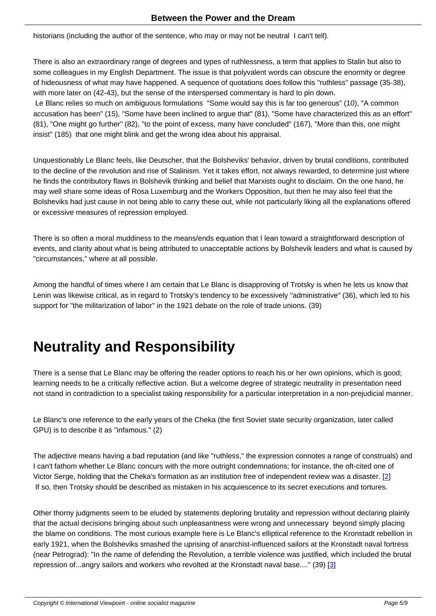historians (including the author of the sentence, who may or may not be neutral I can't tell).

There is also an extraordinary range of degrees and types of ruthlessness, a term that applies to Stalin but also to some colleagues in my English Department. The issue is that polyvalent words can obscure the enormity or degree of hideousness of what may have happened. A sequence of quotations does follow this "ruthless" passage (35-38), with more later on (42-43), but the sense of the interspersed commentary is hard to pin down. Le Blanc relies so much on ambiguous formulations "Some would say this is far too generous" (10), "A common

accusation has been" (15), "Some have been inclined to argue that" (81), "Some have characterized this as an effort" (81), "One might go further" (82), "to the point of excess, many have concluded" (167), "More than this, one might insist" (185) that one might blink and get the wrong idea about his appraisal.

Unquestionably Le Blanc feels, like Deutscher, that the Bolsheviks' behavior, driven by brutal conditions, contributed to the decline of the revolution and rise of Stalinism. Yet it takes effort, not always rewarded, to determine just where he finds the contributory flaws in Bolshevik thinking and belief that Marxists ought to disclaim. On the one hand, he may well share some ideas of Rosa Luxemburg and the Workers Opposition, but then he may also feel that the Bolsheviks had just cause in not being able to carry these out, while not particularly liking all the explanations offered or excessive measures of repression employed.

There is so often a moral muddiness to the means/ends equation that I lean toward a straightforward description of events, and clarity about what is being attributed to unacceptable actions by Bolshevik leaders and what is caused by "circumstances," where at all possible.

Among the handful of times where I am certain that Le Blanc is disapproving of Trotsky is when he lets us know that Lenin was likewise critical, as in regard to Trotsky's tendency to be excessively "administrative" (36), which led to his support for "the militarization of labor" in the 1921 debate on the role of trade unions. (39)

# **Neutrality and Responsibility**

There is a sense that Le Blanc may be offering the reader options to reach his or her own opinions, which is good; learning needs to be a critically reflective action. But a welcome degree of strategic neutrality in presentation need not stand in contradiction to a specialist taking responsibility for a particular interpretation in a non-prejudicial manner.

Le Blanc's one reference to the early years of the Cheka (the first Soviet state security organization, later called GPU) is to describe it as "infamous." (2)

The adjective means having a bad reputation (and like "ruthless," the expression connotes a range of construals) and I can't fathom whether Le Blanc concurs with the more outright condemnations; for instance, the oft-cited one of Victor Serge, holding that the Cheka's formation as an institution free of independent review was a disaster. [2] If so, then Trotsky should be described as mistaken in his acquiescence to its secret executions and tortures.

Other thorny judgments seem to be eluded by statements deploring brutality and repression without declarin[g](#nb2) plainly that the actual decisions bringing about such unpleasantness were wrong and unnecessary beyond simply placing the blame on conditions. The most curious example here is Le Blanc's elliptical reference to the Kronstadt rebellion in early 1921, when the Bolsheviks smashed the uprising of anarchist-influenced sailors at the Kronstadt naval fortress (near Petrograd): "In the name of defending the Revolution, a terrible violence was justified, which included the brutal repression of...angry sailors and workers who revolted at the Kronstadt naval base...." (39) [3]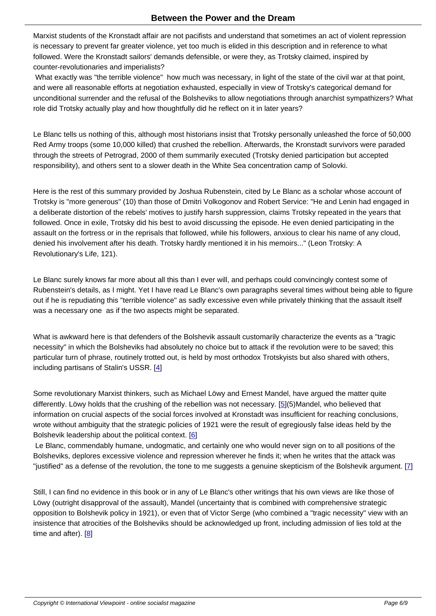Marxist students of the Kronstadt affair are not pacifists and understand that sometimes an act of violent repression is necessary to prevent far greater violence, yet too much is elided in this description and in reference to what followed. Were the Kronstadt sailors' demands defensible, or were they, as Trotsky claimed, inspired by counter-revolutionaries and imperialists?

What exactly was "the terrible violence" how much was necessary, in light of the state of the civil war at that point, and were all reasonable efforts at negotiation exhausted, especially in view of Trotsky's categorical demand for unconditional surrender and the refusal of the Bolsheviks to allow negotiations through anarchist sympathizers? What role did Trotsky actually play and how thoughtfully did he reflect on it in later years?

Le Blanc tells us nothing of this, although most historians insist that Trotsky personally unleashed the force of 50,000 Red Army troops (some 10,000 killed) that crushed the rebellion. Afterwards, the Kronstadt survivors were paraded through the streets of Petrograd, 2000 of them summarily executed (Trotsky denied participation but accepted responsibility), and others sent to a slower death in the White Sea concentration camp of Solovki.

Here is the rest of this summary provided by Joshua Rubenstein, cited by Le Blanc as a scholar whose account of Trotsky is "more generous" (10) than those of Dmitri Volkogonov and Robert Service: "He and Lenin had engaged in a deliberate distortion of the rebels' motives to justify harsh suppression, claims Trotsky repeated in the years that followed. Once in exile, Trotsky did his best to avoid discussing the episode. He even denied participating in the assault on the fortress or in the reprisals that followed, while his followers, anxious to clear his name of any cloud, denied his involvement after his death. Trotsky hardly mentioned it in his memoirs..." (Leon Trotsky: A Revolutionary's Life, 121).

Le Blanc surely knows far more about all this than I ever will, and perhaps could convincingly contest some of Rubenstein's details, as I might. Yet I have read Le Blanc's own paragraphs several times without being able to figure out if he is repudiating this "terrible violence" as sadly excessive even while privately thinking that the assault itself was a necessary one as if the two aspects might be separated.

What is awkward here is that defenders of the Bolshevik assault customarily characterize the events as a "tragic necessity" in which the Bolsheviks had absolutely no choice but to attack if the revolution were to be saved; this particular turn of phrase, routinely trotted out, is held by most orthodox Trotskyists but also shared with others, including partisans of Stalin's USSR. [4]

Some revolutionary Marxist thinkers, such as Michael Löwy and Ernest Mandel, have argued the matter quite differently. Löwy holds that the crushi[ng](#nb4) of the rebellion was not necessary. [5](5)Mandel, who believed that information on crucial aspects of the social forces involved at Kronstadt was insufficient for reaching conclusions, wrote without ambiguity that the strategic policies of 1921 were the result of egregiously false ideas held by the Bolshevik leadership about the political context. [6]

 Le Blanc, commendably humane, undogmatic, and certainly one who would [n](#nb5)ever sign on to all positions of the Bolsheviks, deplores excessive violence and repression wherever he finds it; when he writes that the attack was "justified" as a defense of the revolution, th[e t](#nb6)one to me suggests a genuine skepticism of the Bolshevik argument. [7]

Still, I can find no evidence in this book or in any of Le Blanc's other writings that his own views are like those of Löwy (outright disapproval of the assault), Mandel (uncertainty that is combined with comprehensive strategic opposition to Bolshevik policy in 1921), or even that of Victor Serge (who combined a "tragic necessity" view with an insistence that atrocities of the Bolsheviks should be acknowledged up front, including admission of lies told at the time and after). [8]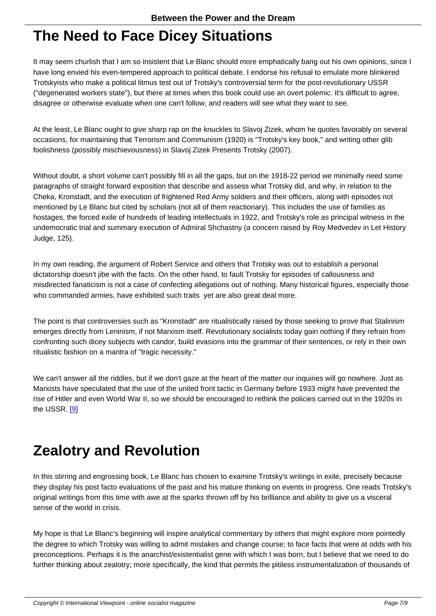#### **The Need to Face Dicey Situations**

It may seem churlish that I am so insistent that Le Blanc should more emphatically bang out his own opinions, since I have long envied his even-tempered approach to political debate. I endorse his refusal to emulate more blinkered Trotskyists who make a political litmus test out of Trotsky's controversial term for the post-revolutionary USSR ("degenerated workers state"), but there at times when this book could use an overt polemic. It's difficult to agree, disagree or otherwise evaluate when one can't follow, and readers will see what they want to see.

At the least, Le Blanc ought to give sharp rap on the knuckles to Slavoj Zizek, whom he quotes favorably on several occasions, for maintaining that Terrorism and Communism (1920) is "Trotsky's key book," and writing other glib foolishness (possibly mischievousness) in Slavoj Zizek Presents Trotsky (2007).

Without doubt, a short volume can't possibly fill in all the gaps, but on the 1918-22 period we minimally need some paragraphs of straight forward exposition that describe and assess what Trotsky did, and why, in relation to the Cheka, Kronstadt, and the execution of frightened Red Army soldiers and their officers, along with episodes not mentioned by Le Blanc but cited by scholars (not all of them reactionary). This includes the use of families as hostages, the forced exile of hundreds of leading intellectuals in 1922, and Trotsky's role as principal witness in the undemocratic trial and summary execution of Admiral Shchastny (a concern raised by Roy Medvedev in Let History Judge, 125).

In my own reading, the argument of Robert Service and others that Trotsky was out to establish a personal dictatorship doesn't jibe with the facts. On the other hand, to fault Trotsky for episodes of callousness and misdirected fanaticism is not a case of confecting allegations out of nothing. Many historical figures, especially those who commanded armies, have exhibited such traits yet are also great deal more.

The point is that controversies such as "Kronstadt" are ritualistically raised by those seeking to prove that Stalinism emerges directly from Leninism, if not Marxism itself. Revolutionary socialists today gain nothing if they refrain from confronting such dicey subjects with candor, build evasions into the grammar of their sentences, or rely in their own ritualistic fashion on a mantra of "tragic necessity."

We can't answer all the riddles, but if we don't gaze at the heart of the matter our inquiries will go nowhere. Just as Marxists have speculated that the use of the united front tactic in Germany before 1933 might have prevented the rise of Hitler and even World War II, so we should be encouraged to rethink the policies carried out in the 1920s in the USSR. [9]

### **Zealo[t](#nb9)ry and Revolution**

In this stirring and engrossing book, Le Blanc has chosen to examine Trotsky's writings in exile, precisely because they display his post facto evaluations of the past and his mature thinking on events in progress. One reads Trotsky's original writings from this time with awe at the sparks thrown off by his brilliance and ability to give us a visceral sense of the world in crisis.

My hope is that Le Blanc's beginning will inspire analytical commentary by others that might explore more pointedly the degree to which Trotsky was willing to admit mistakes and change course; to face facts that were at odds with his preconceptions. Perhaps it is the anarchist/existentialist gene with which I was born, but I believe that we need to do further thinking about zealotry; more specifically, the kind that permits the pitiless instrumentalization of thousands of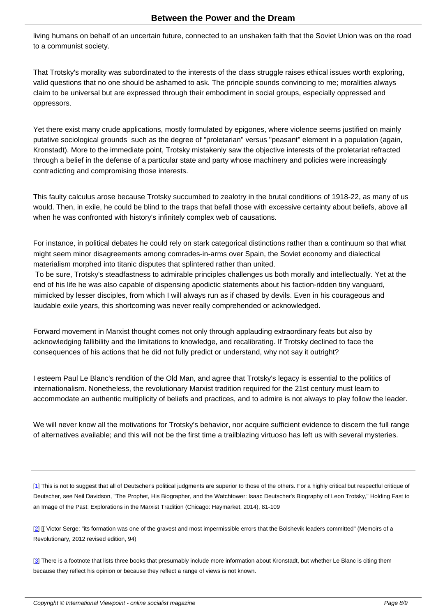living humans on behalf of an uncertain future, connected to an unshaken faith that the Soviet Union was on the road to a communist society.

That Trotsky's morality was subordinated to the interests of the class struggle raises ethical issues worth exploring, valid questions that no one should be ashamed to ask. The principle sounds convincing to me; moralities always claim to be universal but are expressed through their embodiment in social groups, especially oppressed and oppressors.

Yet there exist many crude applications, mostly formulated by epigones, where violence seems justified on mainly putative sociological grounds such as the degree of "proletarian" versus "peasant" element in a population (again, Kronstadt). More to the immediate point, Trotsky mistakenly saw the objective interests of the proletariat refracted through a belief in the defense of a particular state and party whose machinery and policies were increasingly contradicting and compromising those interests.

This faulty calculus arose because Trotsky succumbed to zealotry in the brutal conditions of 1918-22, as many of us would. Then, in exile, he could be blind to the traps that befall those with excessive certainty about beliefs, above all when he was confronted with history's infinitely complex web of causations.

For instance, in political debates he could rely on stark categorical distinctions rather than a continuum so that what might seem minor disagreements among comrades-in-arms over Spain, the Soviet economy and dialectical materialism morphed into titanic disputes that splintered rather than united.

 To be sure, Trotsky's steadfastness to admirable principles challenges us both morally and intellectually. Yet at the end of his life he was also capable of dispensing apodictic statements about his faction-ridden tiny vanguard, mimicked by lesser disciples, from which I will always run as if chased by devils. Even in his courageous and laudable exile years, this shortcoming was never really comprehended or acknowledged.

Forward movement in Marxist thought comes not only through applauding extraordinary feats but also by acknowledging fallibility and the limitations to knowledge, and recalibrating. If Trotsky declined to face the consequences of his actions that he did not fully predict or understand, why not say it outright?

I esteem Paul Le Blanc's rendition of the Old Man, and agree that Trotsky's legacy is essential to the politics of internationalism. Nonetheless, the revolutionary Marxist tradition required for the 21st century must learn to accommodate an authentic multiplicity of beliefs and practices, and to admire is not always to play follow the leader.

We will never know all the motivations for Trotsky's behavior, nor acquire sufficient evidence to discern the full range of alternatives available; and this will not be the first time a trailblazing virtuoso has left us with several mysteries.

[1] This is not to suggest that all of Deutscher's political judgments are superior to those of the others. For a highly critical but respectful critique of Deutscher, see Neil Davidson, "The Prophet, His Biographer, and the Watchtower: Isaac Deutscher's Biography of Leon Trotsky," Holding Fast to an Image of the Past: Explorations in the Marxist Tradition (Chicago: Haymarket, 2014), 81-109

[[2](#nh1)] [[ Victor Serge: "its formation was one of the gravest and most impermissible errors that the Bolshevik leaders committed" (Memoirs of a Revolutionary, 2012 revised edition, 94)

[[3](#nh2)] There is a footnote that lists three books that presumably include more information about Kronstadt, but whether Le Blanc is citing them because they reflect his opinion or because they reflect a range of views is not known.